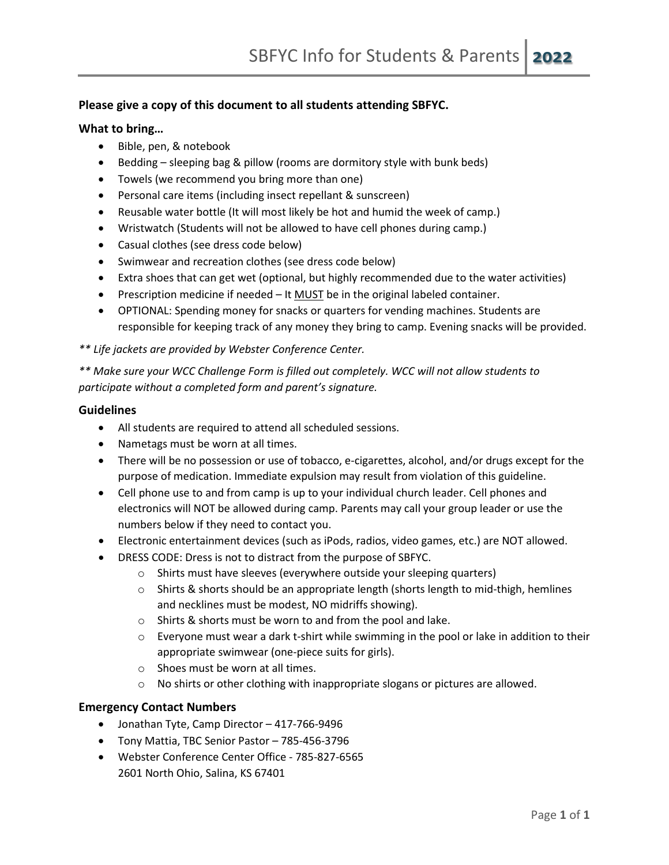### **Please give a copy of this document to all students attending SBFYC.**

#### **What to bring…**

- Bible, pen, & notebook
- Bedding sleeping bag & pillow (rooms are dormitory style with bunk beds)
- Towels (we recommend you bring more than one)
- Personal care items (including insect repellant & sunscreen)
- Reusable water bottle (It will most likely be hot and humid the week of camp.)
- Wristwatch (Students will not be allowed to have cell phones during camp.)
- Casual clothes (see dress code below)
- Swimwear and recreation clothes (see dress code below)
- Extra shoes that can get wet (optional, but highly recommended due to the water activities)
- Prescription medicine if needed It MUST be in the original labeled container.
- OPTIONAL: Spending money for snacks or quarters for vending machines. Students are responsible for keeping track of any money they bring to camp. Evening snacks will be provided.

*\*\* Life jackets are provided by Webster Conference Center.*

*\*\* Make sure your WCC Challenge Form is filled out completely. WCC will not allow students to participate without a completed form and parent's signature.*

#### **Guidelines**

- All students are required to attend all scheduled sessions.
- Nametags must be worn at all times.
- There will be no possession or use of tobacco, e-cigarettes, alcohol, and/or drugs except for the purpose of medication. Immediate expulsion may result from violation of this guideline.
- Cell phone use to and from camp is up to your individual church leader. Cell phones and electronics will NOT be allowed during camp. Parents may call your group leader or use the numbers below if they need to contact you.
- Electronic entertainment devices (such as iPods, radios, video games, etc.) are NOT allowed.
- DRESS CODE: Dress is not to distract from the purpose of SBFYC.
	- o Shirts must have sleeves (everywhere outside your sleeping quarters)
	- o Shirts & shorts should be an appropriate length (shorts length to mid-thigh, hemlines and necklines must be modest, NO midriffs showing).
	- o Shirts & shorts must be worn to and from the pool and lake.
	- $\circ$  Everyone must wear a dark t-shirt while swimming in the pool or lake in addition to their appropriate swimwear (one-piece suits for girls).
	- o Shoes must be worn at all times.
	- o No shirts or other clothing with inappropriate slogans or pictures are allowed.

#### **Emergency Contact Numbers**

- Jonathan Tyte, Camp Director 417-766-9496
- Tony Mattia, TBC Senior Pastor 785-456-3796
- Webster Conference Center Office 785-827-6565 2601 North Ohio, Salina, KS 67401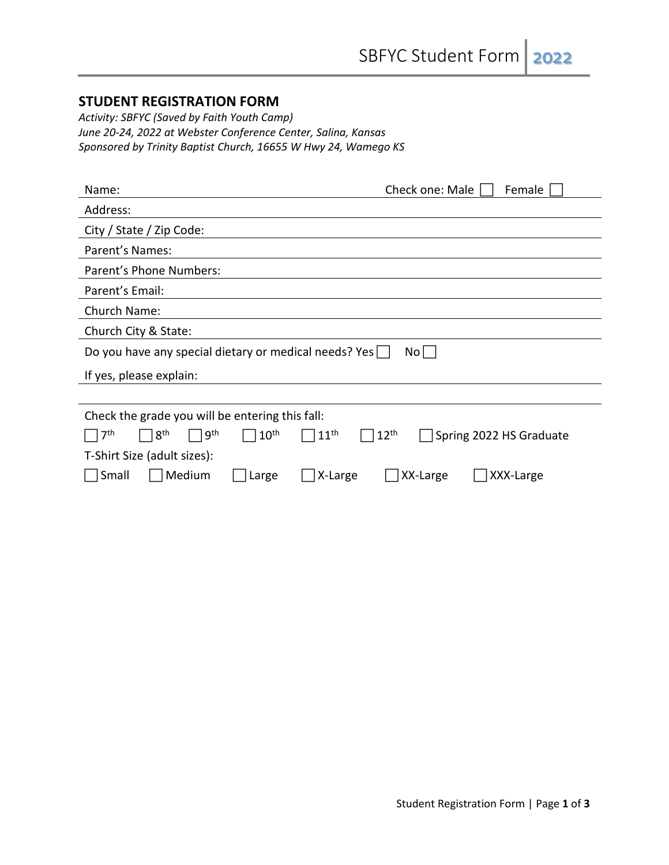### **STUDENT REGISTRATION FORM**

*Activity: SBFYC (Saved by Faith Youth Camp) June 20-24, 2022 at Webster Conference Center, Salina, Kansas Sponsored by Trinity Baptist Church, 16655 W Hwy 24, Wamego KS*

| Name:                                                                             | Check one: Male<br>Female                   |
|-----------------------------------------------------------------------------------|---------------------------------------------|
| Address:                                                                          |                                             |
| City / State / Zip Code:                                                          |                                             |
| Parent's Names:                                                                   |                                             |
| Parent's Phone Numbers:                                                           |                                             |
| Parent's Email:                                                                   |                                             |
| Church Name:                                                                      |                                             |
| Church City & State:                                                              |                                             |
| Do you have any special dietary or medical needs? Yes                             | No                                          |
| If yes, please explain:                                                           |                                             |
|                                                                                   |                                             |
| Check the grade you will be entering this fall:                                   |                                             |
| 7th<br>8 <sup>th</sup><br>9 <sup>th</sup><br>10 <sup>th</sup><br>11 <sup>th</sup> | 12 <sup>th</sup><br>Spring 2022 HS Graduate |
| T-Shirt Size (adult sizes):                                                       |                                             |
| Medium<br>X-Large<br>Small<br>∟arge                                               | XX-Large<br>XXX-Large                       |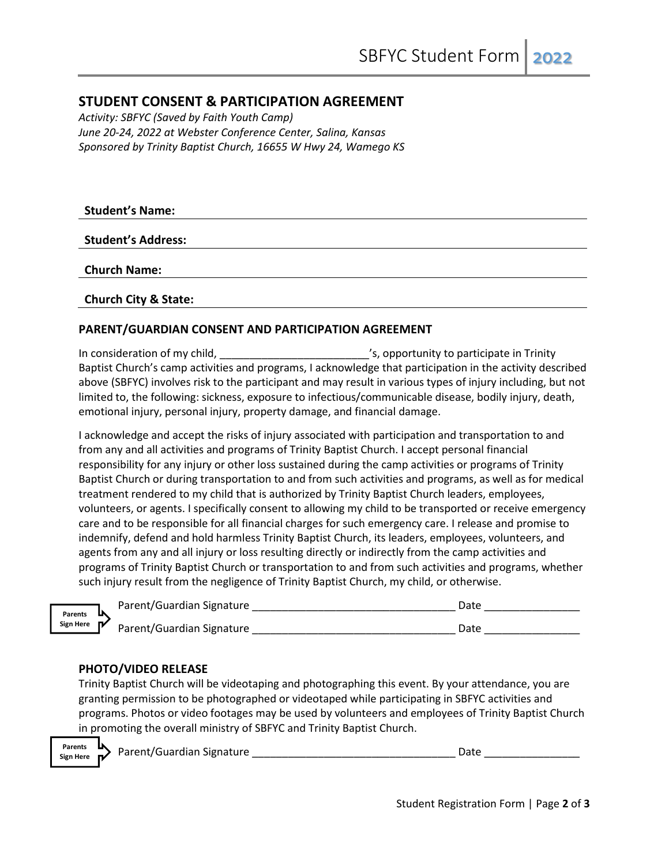## **STUDENT CONSENT & PARTICIPATION AGREEMENT**

*Activity: SBFYC (Saved by Faith Youth Camp) June 20-24, 2022 at Webster Conference Center, Salina, Kansas Sponsored by Trinity Baptist Church, 16655 W Hwy 24, Wamego KS*

**Student's Name:**

**Student's Address:**

**Church Name:** 

**Church City & State:**

#### **PARENT/GUARDIAN CONSENT AND PARTICIPATION AGREEMENT**

In consideration of my child, the same consideration of my child, the same consideration of my child, Baptist Church's camp activities and programs, I acknowledge that participation in the activity described above (SBFYC) involves risk to the participant and may result in various types of injury including, but not limited to, the following: sickness, exposure to infectious/communicable disease, bodily injury, death, emotional injury, personal injury, property damage, and financial damage.

I acknowledge and accept the risks of injury associated with participation and transportation to and from any and all activities and programs of Trinity Baptist Church. I accept personal financial responsibility for any injury or other loss sustained during the camp activities or programs of Trinity Baptist Church or during transportation to and from such activities and programs, as well as for medical treatment rendered to my child that is authorized by Trinity Baptist Church leaders, employees, volunteers, or agents. I specifically consent to allowing my child to be transported or receive emergency care and to be responsible for all financial charges for such emergency care. I release and promise to indemnify, defend and hold harmless Trinity Baptist Church, its leaders, employees, volunteers, and agents from any and all injury or loss resulting directly or indirectly from the camp activities and programs of Trinity Baptist Church or transportation to and from such activities and programs, whether such injury result from the negligence of Trinity Baptist Church, my child, or otherwise.

| Parents<br>Sign Here $\mathbb{N}$ | Parent/Guardian Signature | Date |
|-----------------------------------|---------------------------|------|
|                                   | Parent/Guardian Signature | Date |

#### **PHOTO/VIDEO RELEASE**

Trinity Baptist Church will be videotaping and photographing this event. By your attendance, you are granting permission to be photographed or videotaped while participating in SBFYC activities and programs. Photos or video footages may be used by volunteers and employees of Trinity Baptist Church in promoting the overall ministry of SBFYC and Trinity Baptist Church.



Parent/Guardian Signature \_\_\_\_\_\_\_\_\_\_\_\_\_\_\_\_\_\_\_\_\_\_\_\_\_\_\_\_\_\_\_\_\_\_ Date \_\_\_\_\_\_\_\_\_\_\_\_\_\_\_\_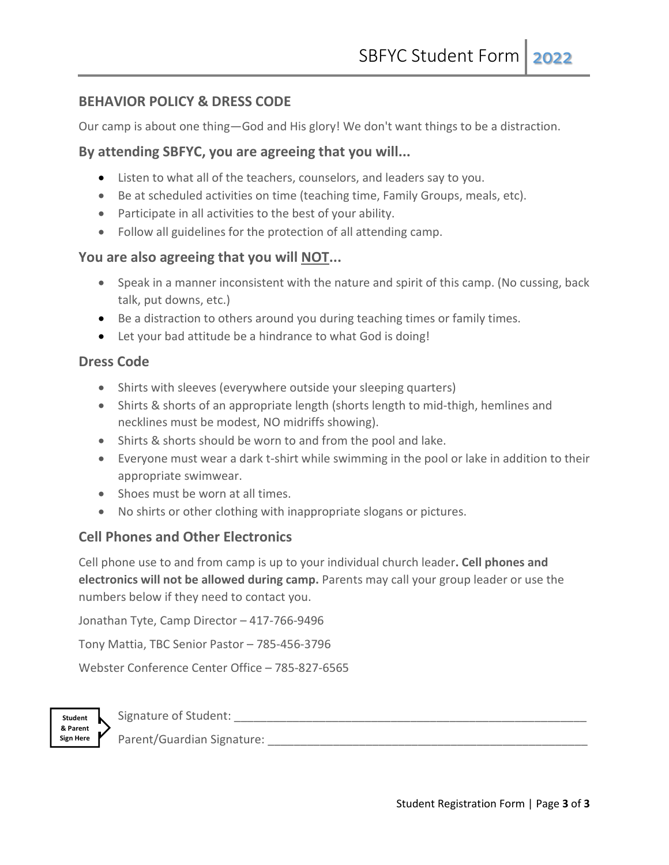## **BEHAVIOR POLICY & DRESS CODE**

Our camp is about one thing—God and His glory! We don't want things to be a distraction.

## **By attending SBFYC, you are agreeing that you will...**

- Listen to what all of the teachers, counselors, and leaders say to you.
- Be at scheduled activities on time (teaching time, Family Groups, meals, etc).
- Participate in all activities to the best of your ability.
- Follow all guidelines for the protection of all attending camp.

## **You are also agreeing that you will NOT...**

- Speak in a manner inconsistent with the nature and spirit of this camp. (No cussing, back talk, put downs, etc.)
- Be a distraction to others around you during teaching times or family times.
- Let your bad attitude be a hindrance to what God is doing!

## **Dress Code**

- Shirts with sleeves (everywhere outside your sleeping quarters)
- Shirts & shorts of an appropriate length (shorts length to mid-thigh, hemlines and necklines must be modest, NO midriffs showing).
- Shirts & shorts should be worn to and from the pool and lake.
- Everyone must wear a dark t-shirt while swimming in the pool or lake in addition to their appropriate swimwear.
- Shoes must be worn at all times.
- No shirts or other clothing with inappropriate slogans or pictures.

# **Cell Phones and Other Electronics**

Cell phone use to and from camp is up to your individual church leader**. Cell phones and electronics will not be allowed during camp.** Parents may call your group leader or use the numbers below if they need to contact you.

Jonathan Tyte, Camp Director – 417-766-9496

Tony Mattia, TBC Senior Pastor – 785-456-3796

Webster Conference Center Office – 785-827-6565



| Signature of Student: |  |
|-----------------------|--|
|                       |  |

Parent/Guardian Signature: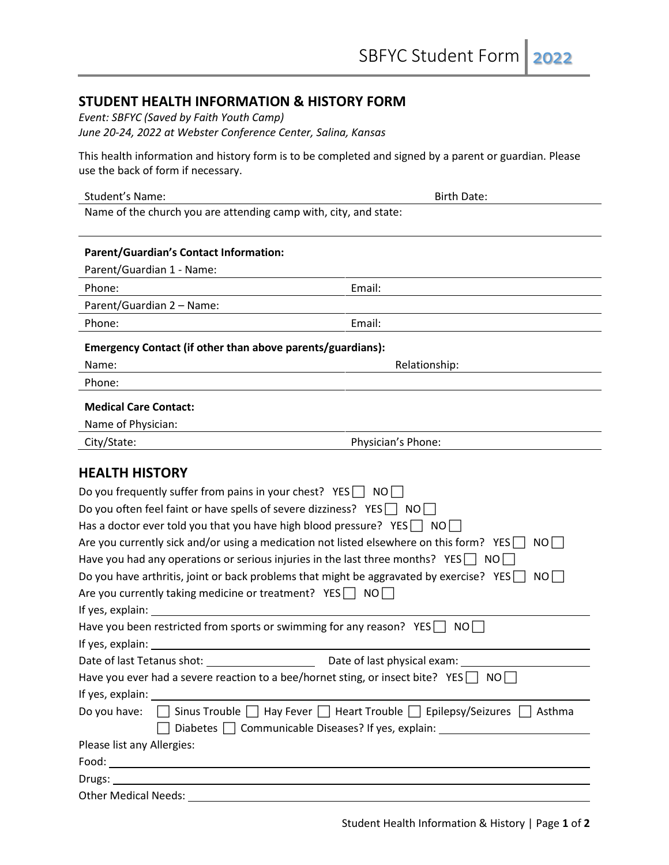### **STUDENT HEALTH INFORMATION & HISTORY FORM**

*Event: SBFYC (Saved by Faith Youth Camp) June 20-24, 2022 at Webster Conference Center, Salina, Kansas*

This health information and history form is to be completed and signed by a parent or guardian. Please use the back of form if necessary.

| Student's Name:                                                              | <b>Birth Date:</b> |
|------------------------------------------------------------------------------|--------------------|
| Name of the church you are attending camp with, city, and state:             |                    |
| <b>Parent/Guardian's Contact Information:</b>                                |                    |
| Parent/Guardian 1 - Name:                                                    |                    |
| Phone:                                                                       | Email:             |
| Parent/Guardian 2 - Name:                                                    |                    |
| Phone:                                                                       | Email:             |
| Emergency Contact (if other than above parents/guardians):                   |                    |
| Name:                                                                        | Relationship:      |
| Phone:                                                                       |                    |
| <b>Medical Care Contact:</b>                                                 |                    |
| Name of Physician:                                                           |                    |
| City/State:                                                                  | Physician's Phone: |
| <b>HEALTH HISTORY</b>                                                        |                    |
| Do you frequently suffer from pains in your chest? $YES$ NO                  |                    |
| $\Omega$ a vay often feel faint or bays spells of severe dizziness? $VEC$ NO |                    |

| Do you often feel faint or have spells of severe dizziness? $YES \cap NO \cap$                                 |  |  |  |
|----------------------------------------------------------------------------------------------------------------|--|--|--|
| Has a doctor ever told you that you have high blood pressure? YES $\Box$ NO $\Box$                             |  |  |  |
| Are you currently sick and/or using a medication not listed elsewhere on this form? YES<br>NOI I               |  |  |  |
| Have you had any operations or serious injuries in the last three months? YES $\Box$ NO $\Box$                 |  |  |  |
| Do you have arthritis, joint or back problems that might be aggravated by exercise? YES NO                     |  |  |  |
| Are you currently taking medicine or treatment? $YES \cap NO \cap$                                             |  |  |  |
|                                                                                                                |  |  |  |
| Have you been restricted from sports or swimming for any reason? $YES \cap NO \cap$                            |  |  |  |
|                                                                                                                |  |  |  |
|                                                                                                                |  |  |  |
| Have you ever had a severe reaction to a bee/hornet sting, or insect bite? YES $\Box$ NO $\Box$                |  |  |  |
|                                                                                                                |  |  |  |
| Do you have: $\Box$ Sinus Trouble $\Box$ Hay Fever $\Box$ Heart Trouble $\Box$ Epilepsy/Seizures $\Box$ Asthma |  |  |  |
| Diabetes   Communicable Diseases? If yes, explain: _____________________________                               |  |  |  |
| Please list any Allergies:                                                                                     |  |  |  |
|                                                                                                                |  |  |  |
|                                                                                                                |  |  |  |
|                                                                                                                |  |  |  |

Other Medical Needs: